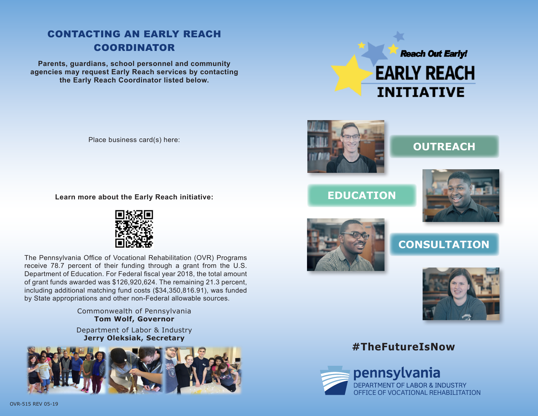# CONTACTING AN EARLY REACH COORDINATOR

**Parents, guardians, school personnel and community agencies may request Early Reach services by contacting the Early Reach Coordinator listed below.**

**Reach Out Early! EARLY REACH INITIATIVE** 

Place business card(s) here:

**Learn more about the Early Reach initiative:**

The Pennsylvania Office of Vocational Rehabilitation (OVR) Programs receive 78.7 percent of their funding through a grant from the U.S. Department of Education. For Federal fiscal year 2018, the total amount of grant funds awarded was \$126,920,624. The remaining 21.3 percent, including additional matching fund costs (\$34,350,816.91), was funded by State appropriations and other non-Federal allowable sources.

> Commonwealth of Pennsylvania **Tom Wolf, Governor**

> Department of Labor & Industry **Jerry Oleksiak, Secretary**





# **OUTREACH**







**CONSULTATION**



# **#TheFutureIsNow**